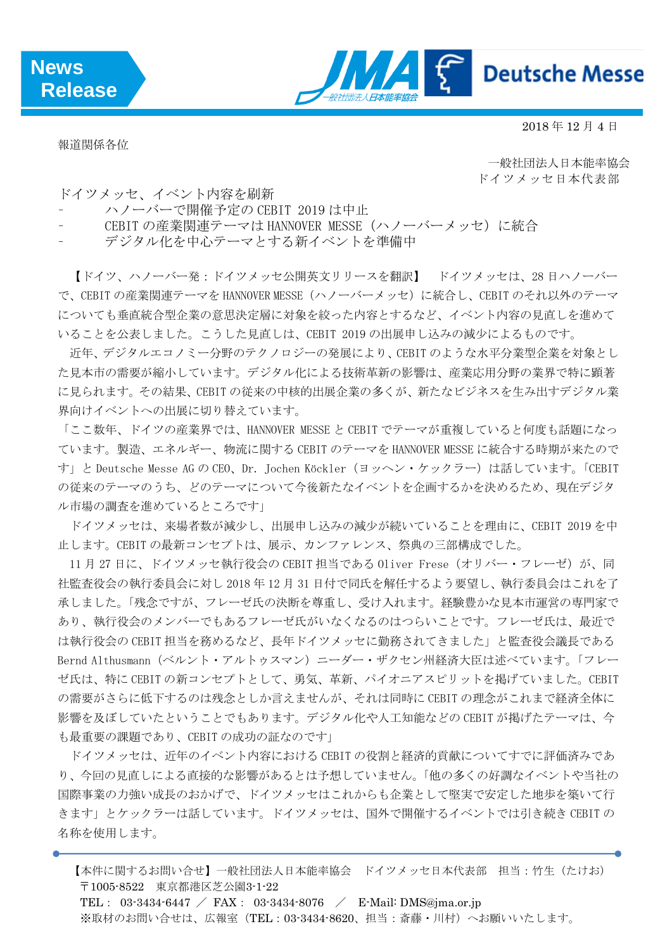

2018 年 12 月 4 日

報道関係各位

一般社団法人日本能率協会 ドイツメッセ日本代表部

ドイツメッセ、イベント内容を刷新

- ハノーバーで開催予定の CEBIT 2019 は中止
- CEBIT の産業関連テーマは HANNOVER MESSE(ハノーバーメッセ)に統合

デジタル化を中心テーマとする新イベントを準備中

【ドイツ、ハノーバー発:ドイツメッセ公開英文リリースを翻訳】 ドイツメッセは、28 日ハノーバー で、CEBIT の産業関連テーマを HANNOVER MESSE(ハノーバーメッセ)に統合し、CEBIT のそれ以外のテーマ についても垂直統合型企業の意思決定層に対象を絞った内容とするなど、イベント内容の見直しを進めて いることを公表しました。こうした見直しは、CEBIT 2019 の出展申し込みの減少によるものです。

近年、デジタルエコノミー分野のテクノロジーの発展により、CEBIT のような水平分業型企業を対象とし た見本市の需要が縮小しています。デジタル化による技術革新の影響は、産業応用分野の業界で特に顕著 に見られます。その結果、CEBIT の従来の中核的出展企業の多くが、新たなビジネスを生み出すデジタル業 界向けイベントへの出展に切り替えています。

「ここ数年、ドイツの産業界では、HANNOVER MESSE と CEBIT でテーマが重複していると何度も話題になっ ています。製造、エネルギー、物流に関する CEBIT のテーマを HANNOVER MESSE に統合する時期が来たので す」と Deutsche Messe AG の CEO、Dr. Jochen Köckler(ヨッヘン・ケックラー)は話しています。「CEBIT の従来のテーマのうち、どのテーマについて今後新たなイベントを企画するかを決めるため、現在デジタ ル市場の調査を進めているところです」

ドイツメッセは、来場者数が減少し、出展申し込みの減少が続いていることを理由に、CEBIT 2019 を中 止します。CEBIT の最新コンセプトは、展示、カンファレンス、祭典の三部構成でした。

11月27日に、ドイツメッセ執行役会の CEBIT 担当である Oliver Frese (オリバー・フレーゼ) が、同 社監査役会の執行委員会に対し 2018 年 12 月 31 日付で同氏を解任するよう要望し、執行委員会はこれを了 承しました。「残念ですが、フレーゼ氏の決断を尊重し、受け入れます。経験豊かな見本市運営の専門家で あり、執行役会のメンバーでもあるフレーゼ氏がいなくなるのはつらいことです。フレーゼ氏は、最近で は執行役会の CEBIT 担当を務めるなど、長年ドイツメッセに勤務されてきました」と監査役会議長である Bernd Althusmann (ベルント・アルトゥスマン)ニーダー・ザクセン州経済大臣は述べています。「フレー ゼ氏は、特に CEBIT の新コンセプトとして、勇気、革新、パイオニアスピリットを掲げていました。CEBIT の需要がさらに低下するのは残念としか言えませんが、それは同時に CEBIT の理念がこれまで経済全体に 影響を及ぼしていたということでもあります。デジタル化や人工知能などの CEBIT が掲げたテーマは、今 も最重要の課題であり、CEBIT の成功の証なのです」

ドイツメッセは、近年のイベント内容における CEBIT の役割と経済的貢献についてすでに評価済みであ り、今回の見直しによる直接的な影響があるとは予想していません。「他の多くの好調なイベントや当社の 国際事業の力強い成長のおかげで、ドイツメッセはこれからも企業として堅実で安定した地歩を築いて行 きます」とケックラーは話しています。ドイツメッセは、国外で開催するイベントでは引き続き CEBIT の 名称を使用します。

【本件に関するお問い合せ】一般社団法人日本能率協会 ドイツメッセ日本代表部 担当:竹生(たけお) 〒1005-8522 東京都港区芝公園3-1-22 TEL: 03-3434-6447 / FAX: 03-3434-8076 / E-Mail: DMS@jma.or.jp ※取材のお問い合せは、広報室 (TEL: 03-3434-8620、担当:斎藤·川村)へお願いいたします。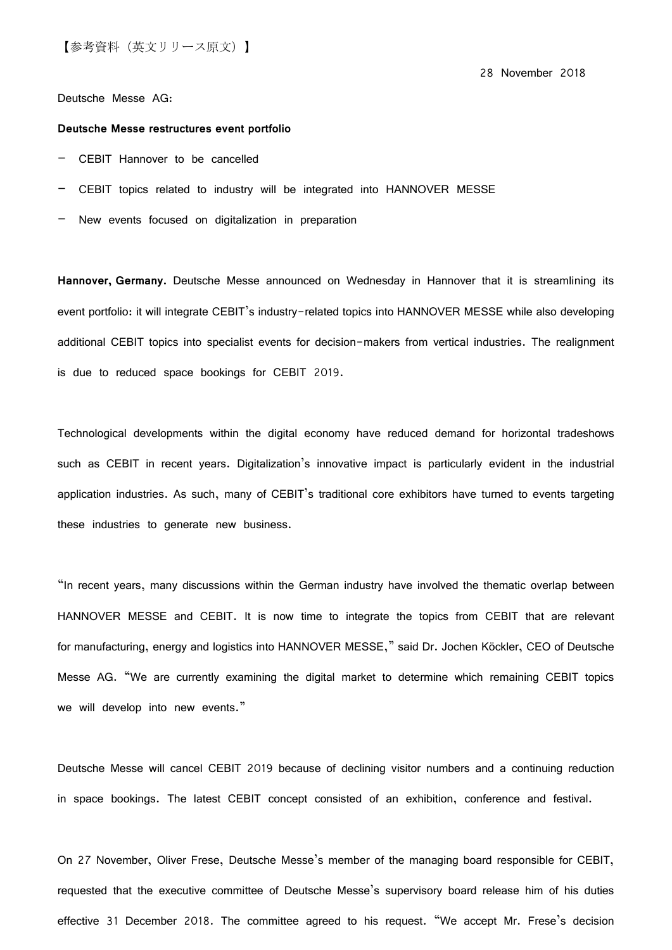28 November 2018

Deutsche Messe AG:

## **Deutsche Messe restructures event portfolio**

- CEBIT Hannover to be cancelled
- CEBIT topics related to industry will be integrated into HANNOVER MESSE
- New events focused on digitalization in preparation

**Hannover, Germany.** Deutsche Messe announced on Wednesday in Hannover that it is streamlining its event portfolio: it will integrate CEBIT's industry-related topics into HANNOVER MESSE while also developing additional CEBIT topics into specialist events for decision-makers from vertical industries. The realignment is due to reduced space bookings for CEBIT 2019.

Technological developments within the digital economy have reduced demand for horizontal tradeshows such as CEBIT in recent years. Digitalization's innovative impact is particularly evident in the industrial application industries. As such, many of CEBIT's traditional core exhibitors have turned to events targeting these industries to generate new business.

"In recent years, many discussions within the German industry have involved the thematic overlap between HANNOVER MESSE and CEBIT. It is now time to integrate the topics from CEBIT that are relevant for manufacturing, energy and logistics into HANNOVER MESSE," said Dr. Jochen Köckler, CEO of Deutsche Messe AG. "We are currently examining the digital market to determine which remaining CEBIT topics we will develop into new events."

Deutsche Messe will cancel CEBIT 2019 because of declining visitor numbers and a continuing reduction in space bookings. The latest CEBIT concept consisted of an exhibition, conference and festival.

On 27 November, Oliver Frese, Deutsche Messe's member of the managing board responsible for CEBIT, requested that the executive committee of Deutsche Messe's supervisory board release him of his duties effective 31 December 2018. The committee agreed to his request. "We accept Mr. Frese's decision